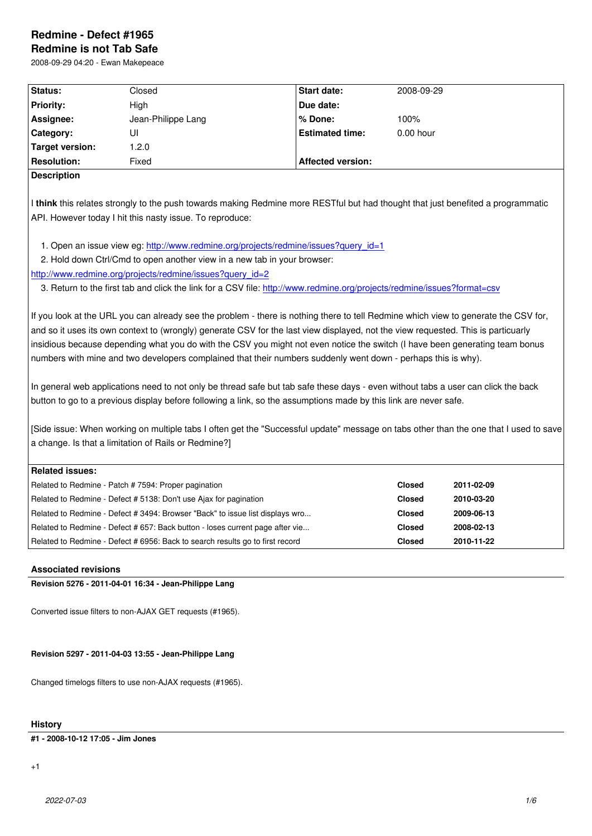#### **Redmine is not Tab Safe**

2008-09-29 04:20 - Ewan Makepeace

| Status:                | Closed             | <b>Start date:</b>       | 2008-09-29  |
|------------------------|--------------------|--------------------------|-------------|
| <b>Priority:</b>       | High               | Due date:                |             |
| Assignee:              | Jean-Philippe Lang | l% Done:                 | 100%        |
| Category:              | UI                 | <b>Estimated time:</b>   | $0.00$ hour |
| <b>Target version:</b> | 0.2.0              |                          |             |
| <b>Resolution:</b>     | Fixed              | <b>Affected version:</b> |             |
| <b>Description</b>     |                    |                          |             |

I **think** this relates strongly to the push towards making Redmine more RESTful but had thought that just benefited a programmatic API. However today I hit this nasty issue. To reproduce:

1. Open an issue view eg: http://www.redmine.org/projects/redmine/issues?query\_id=1

2. Hold down Ctrl/Cmd to open another view in a new tab in your browser:

http://www.redmine.org/projects/redmine/issues?query\_id=2

3. Return to the first tab a[nd click the link for a CSV file: http://www.redmine.org/projects](http://www.redmine.org/projects/redmine/issues?query_id=1)/redmine/issues?format=csv

[If you look at the URL you can already see the problem - the](http://www.redmine.org/projects/redmine/issues?query_id=2)re is nothing there to tell Redmine which view to generate the CSV for, and so it uses its own context to (wrongly) generate CSV f[or the last view displayed, not the view requested. This is par](http://www.redmine.org/projects/redmine/issues?format=csv)ticuarly insidious because depending what you do with the CSV you might not even notice the switch (I have been generating team bonus numbers with mine and two developers complained that their numbers suddenly went down - perhaps this is why).

In general web applications need to not only be thread safe but tab safe these days - even without tabs a user can click the back button to go to a previous display before following a link, so the assumptions made by this link are never safe.

[Side issue: When working on multiple tabs I often get the "Successful update" message on tabs other than the one that I used to save a change. Is that a limitation of Rails or Redmine?]

| Related issues:                                                               |               |            |
|-------------------------------------------------------------------------------|---------------|------------|
| Related to Redmine - Patch # 7594: Proper pagination                          | <b>Closed</b> | 2011-02-09 |
| Related to Redmine - Defect # 5138: Don't use Ajax for pagination             | <b>Closed</b> | 2010-03-20 |
| Related to Redmine - Defect # 3494: Browser "Back" to issue list displays wro | <b>Closed</b> | 2009-06-13 |
| Related to Redmine - Defect # 657: Back button - loses current page after vie | <b>Closed</b> | 2008-02-13 |
| Related to Redmine - Defect # 6956: Back to search results go to first record | <b>Closed</b> | 2010-11-22 |

# **Associated revisions**

**Revision 5276 - 2011-04-01 16:34 - Jean-Philippe Lang**

Converted issue filters to non-AJAX GET requests (#1965).

# **Revision 5297 - 2011-04-03 13:55 - Jean-Philippe Lang**

Changed timelogs filters to use non-AJAX requests (#1965).

### **History**

### **#1 - 2008-10-12 17:05 - Jim Jones**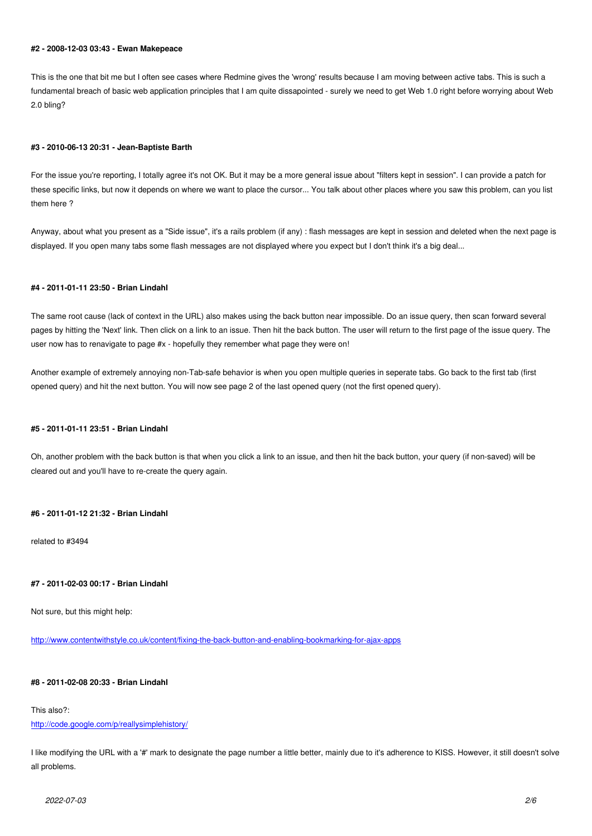#### **#2 - 2008-12-03 03:43 - Ewan Makepeace**

This is the one that bit me but I often see cases where Redmine gives the 'wrong' results because I am moving between active tabs. This is such a fundamental breach of basic web application principles that I am quite dissapointed - surely we need to get Web 1.0 right before worrying about Web 2.0 bling?

# **#3 - 2010-06-13 20:31 - Jean-Baptiste Barth**

For the issue you're reporting, I totally agree it's not OK. But it may be a more general issue about "filters kept in session". I can provide a patch for these specific links, but now it depends on where we want to place the cursor... You talk about other places where you saw this problem, can you list them here ?

Anyway, about what you present as a "Side issue", it's a rails problem (if any) : flash messages are kept in session and deleted when the next page is displayed. If you open many tabs some flash messages are not displayed where you expect but I don't think it's a big deal...

# **#4 - 2011-01-11 23:50 - Brian Lindahl**

The same root cause (lack of context in the URL) also makes using the back button near impossible. Do an issue query, then scan forward several pages by hitting the 'Next' link. Then click on a link to an issue. Then hit the back button. The user will return to the first page of the issue query. The user now has to renavigate to page #x - hopefully they remember what page they were on!

Another example of extremely annoying non-Tab-safe behavior is when you open multiple queries in seperate tabs. Go back to the first tab (first opened query) and hit the next button. You will now see page 2 of the last opened query (not the first opened query).

# **#5 - 2011-01-11 23:51 - Brian Lindahl**

Oh, another problem with the back button is that when you click a link to an issue, and then hit the back button, your query (if non-saved) will be cleared out and you'll have to re-create the query again.

# **#6 - 2011-01-12 21:32 - Brian Lindahl**

related to #3494

# **#7 - 2011-02-03 00:17 - Brian Lindahl**

Not sure, but this might help:

http://www.contentwithstyle.co.uk/content/fixing-the-back-button-and-enabling-bookmarking-for-ajax-apps

# **[#8 - 2011-02-08 20:33 - Brian Lindahl](http://www.contentwithstyle.co.uk/content/fixing-the-back-button-and-enabling-bookmarking-for-ajax-apps)**

This also?:

# http://code.google.com/p/reallysimplehistory/

I like modifying the URL with a '#' mark to designate the page number a little better, mainly due to it's adherence to KISS. However, it still doesn't solve [all problems.](http://code.google.com/p/reallysimplehistory/)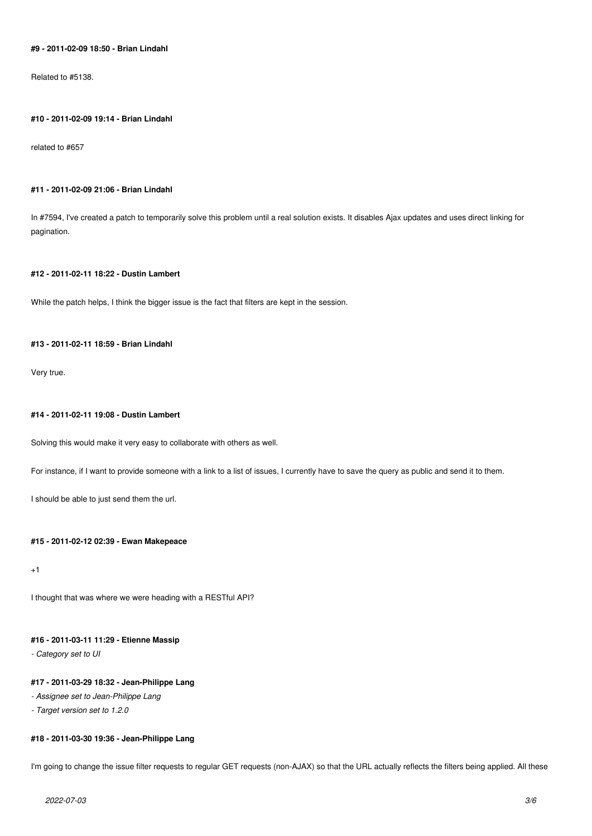# **#9 - 2011-02-09 18:50 - Brian Lindahl**

Related to #5138.

#### **#10 - 2011-02-09 19:14 - Brian Lindahl**

related to #657

# **#11 - 2011-02-09 21:06 - Brian Lindahl**

In #7594, I've created a patch to temporarily solve this problem until a real solution exists. It disables Ajax updates and uses direct linking for pagination.

# **#12 - 2011-02-11 18:22 - Dustin Lambert**

While the patch helps, I think the bigger issue is the fact that filters are kept in the session.

# **#13 - 2011-02-11 18:59 - Brian Lindahl**

Very true.

### **#14 - 2011-02-11 19:08 - Dustin Lambert**

Solving this would make it very easy to collaborate with others as well.

For instance, if I want to provide someone with a link to a list of issues, I currently have to save the query as public and send it to them.

I should be able to just send them the url.

# **#15 - 2011-02-12 02:39 - Ewan Makepeace**

 $+1$ 

I thought that was where we were heading with a RESTful API?

# **#16 - 2011-03-11 11:29 - Etienne Massip**

*- Category set to UI*

# **#17 - 2011-03-29 18:32 - Jean-Philippe Lang**

- *Assignee set to Jean-Philippe Lang*
- *Target version set to 1.2.0*

# **#18 - 2011-03-30 19:36 - Jean-Philippe Lang**

I'm going to change the issue filter requests to regular GET requests (non-AJAX) so that the URL actually reflects the filters being applied. All these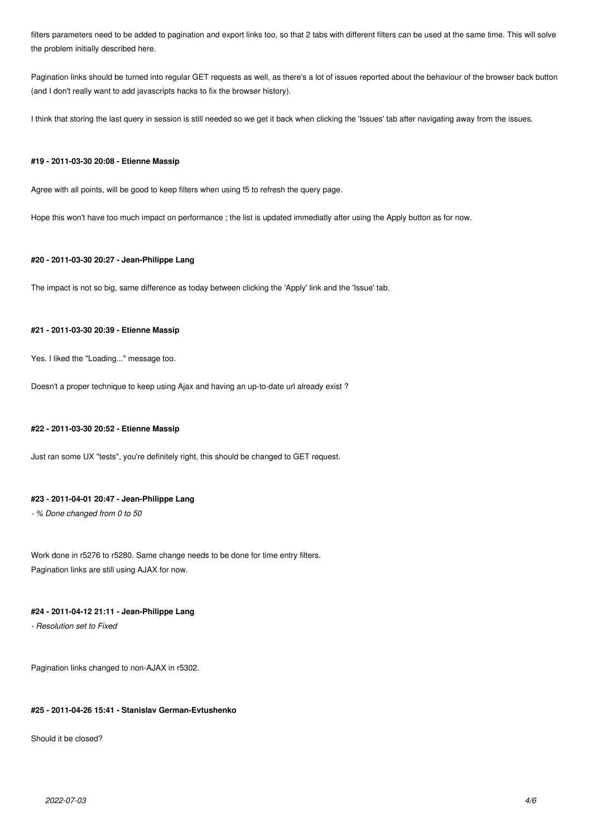filters parameters need to be added to pagination and export links too, so that 2 tabs with different filters can be used at the same time. This will solve the problem initially described here.

Pagination links should be turned into regular GET requests as well, as there's a lot of issues reported about the behaviour of the browser back button (and I don't really want to add javascripts hacks to fix the browser history).

I think that storing the last query in session is still needed so we get it back when clicking the 'Issues' tab after navigating away from the issues.

### **#19 - 2011-03-30 20:08 - Etienne Massip**

Agree with all points, will be good to keep filters when using f5 to refresh the query page.

Hope this won't have too much impact on performance ; the list is updated immediatly after using the Apply button as for now.

# **#20 - 2011-03-30 20:27 - Jean-Philippe Lang**

The impact is not so big, same difference as today between clicking the 'Apply' link and the 'Issue' tab.

# **#21 - 2011-03-30 20:39 - Etienne Massip**

Yes. I liked the "Loading..." message too.

Doesn't a proper technique to keep using Ajax and having an up-to-date url already exist ?

## **#22 - 2011-03-30 20:52 - Etienne Massip**

Just ran some UX "tests", you're definitely right, this should be changed to GET request.

# **#23 - 2011-04-01 20:47 - Jean-Philippe Lang**

*- % Done changed from 0 to 50*

Work done in r5276 to r5280. Same change needs to be done for time entry filters. Pagination links are still using AJAX for now.

# **#24 - 2011-04-12 21:11 - Jean-Philippe Lang**

*- Resolution set to Fixed*

Pagination links changed to non-AJAX in r5302.

### **#25 - 2011-04-26 15:41 - Stanislav German-Evtushenko**

Should it be closed?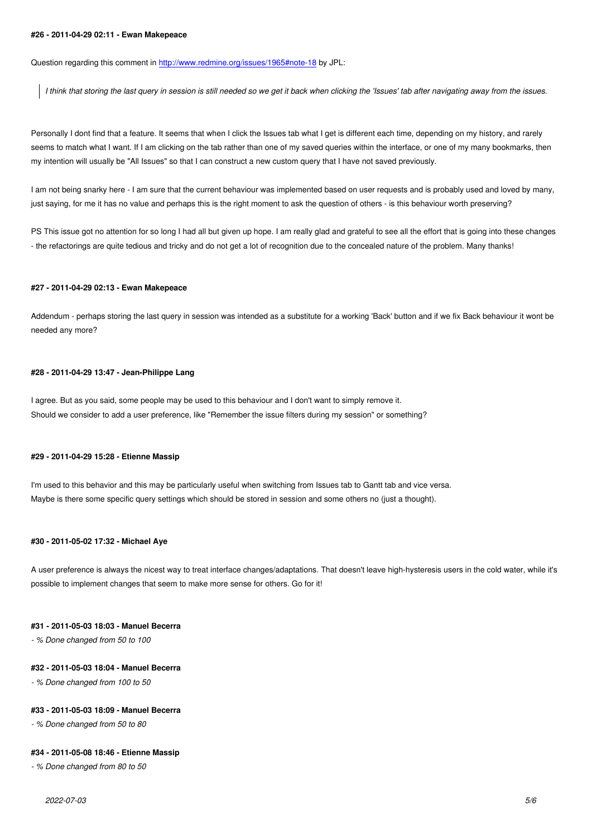Question regarding this comment in http://www.redmine.org/issues/1965#note-18 by JPL:

*I think that storing the last query in session is still needed so we get it back when clicking the 'Issues' tab after navigating away from the issues.*

Personally I dont find that a feature. It seems that when I click the Issues tab what I get is different each time, depending on my history, and rarely seems to match what I want. If I am clicking on the tab rather than one of my saved queries within the interface, or one of my many bookmarks, then my intention will usually be "All Issues" so that I can construct a new custom query that I have not saved previously.

I am not being snarky here - I am sure that the current behaviour was implemented based on user requests and is probably used and loved by many, just saying, for me it has no value and perhaps this is the right moment to ask the question of others - is this behaviour worth preserving?

PS This issue got no attention for so long I had all but given up hope. I am really glad and grateful to see all the effort that is going into these changes - the refactorings are quite tedious and tricky and do not get a lot of recognition due to the concealed nature of the problem. Many thanks!

#### **#27 - 2011-04-29 02:13 - Ewan Makepeace**

Addendum - perhaps storing the last query in session was intended as a substitute for a working 'Back' button and if we fix Back behaviour it wont be needed any more?

### **#28 - 2011-04-29 13:47 - Jean-Philippe Lang**

I agree. But as you said, some people may be used to this behaviour and I don't want to simply remove it. Should we consider to add a user preference, like "Remember the issue filters during my session" or something?

### **#29 - 2011-04-29 15:28 - Etienne Massip**

I'm used to this behavior and this may be particularly useful when switching from Issues tab to Gantt tab and vice versa. Maybe is there some specific query settings which should be stored in session and some others no (just a thought).

### **#30 - 2011-05-02 17:32 - Michael Aye**

A user preference is always the nicest way to treat interface changes/adaptations. That doesn't leave high-hysteresis users in the cold water, while it's possible to implement changes that seem to make more sense for others. Go for it!

#### **#31 - 2011-05-03 18:03 - Manuel Becerra**

*- % Done changed from 50 to 100*

#### **#32 - 2011-05-03 18:04 - Manuel Becerra**

*- % Done changed from 100 to 50*

### **#33 - 2011-05-03 18:09 - Manuel Becerra**

*- % Done changed from 50 to 80*

### **#34 - 2011-05-08 18:46 - Etienne Massip**

*- % Done changed from 80 to 50*